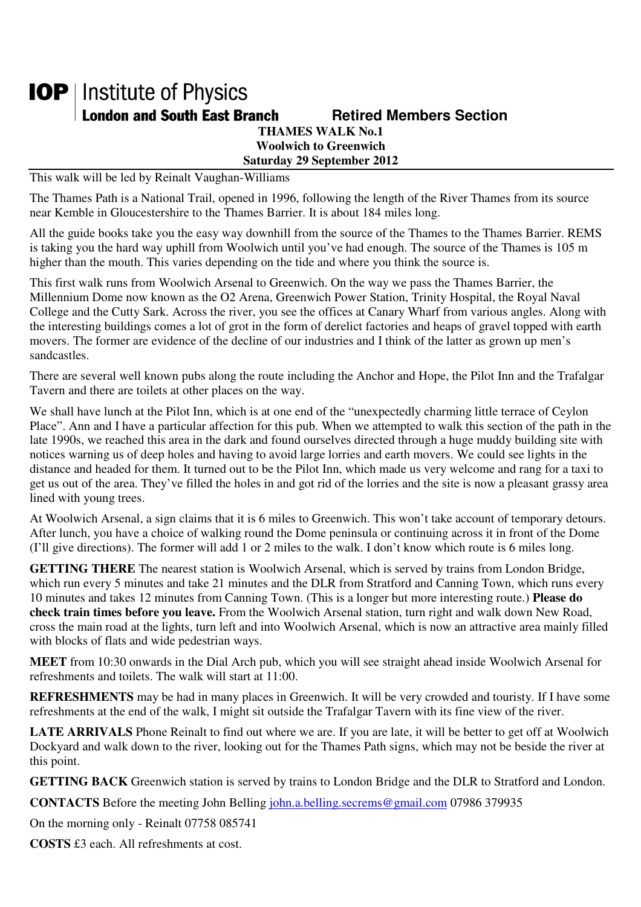## **IOP** | Institute of Physics **London and South East Branch Famely Retired Members Section THAMES WALK No.1 Woolwich to Greenwich**

**Saturday 29 September 2012** 

This walk will be led by Reinalt Vaughan-Williams

The Thames Path is a National Trail, opened in 1996, following the length of the River Thames from its source near Kemble in Gloucestershire to the Thames Barrier. It is about 184 miles long.

All the guide books take you the easy way downhill from the source of the Thames to the Thames Barrier. REMS is taking you the hard way uphill from Woolwich until you've had enough. The source of the Thames is 105 m higher than the mouth. This varies depending on the tide and where you think the source is.

This first walk runs from Woolwich Arsenal to Greenwich. On the way we pass the Thames Barrier, the Millennium Dome now known as the O2 Arena, Greenwich Power Station, Trinity Hospital, the Royal Naval College and the Cutty Sark. Across the river, you see the offices at Canary Wharf from various angles. Along with the interesting buildings comes a lot of grot in the form of derelict factories and heaps of gravel topped with earth movers. The former are evidence of the decline of our industries and I think of the latter as grown up men's sandcastles.

There are several well known pubs along the route including the Anchor and Hope, the Pilot Inn and the Trafalgar Tavern and there are toilets at other places on the way.

We shall have lunch at the Pilot Inn, which is at one end of the "unexpectedly charming little terrace of Ceylon Place". Ann and I have a particular affection for this pub. When we attempted to walk this section of the path in the late 1990s, we reached this area in the dark and found ourselves directed through a huge muddy building site with notices warning us of deep holes and having to avoid large lorries and earth movers. We could see lights in the distance and headed for them. It turned out to be the Pilot Inn, which made us very welcome and rang for a taxi to get us out of the area. They've filled the holes in and got rid of the lorries and the site is now a pleasant grassy area lined with young trees.

At Woolwich Arsenal, a sign claims that it is 6 miles to Greenwich. This won't take account of temporary detours. After lunch, you have a choice of walking round the Dome peninsula or continuing across it in front of the Dome (I'll give directions). The former will add 1 or 2 miles to the walk. I don't know which route is 6 miles long.

**GETTING THERE** The nearest station is Woolwich Arsenal, which is served by trains from London Bridge, which run every 5 minutes and take 21 minutes and the DLR from Stratford and Canning Town, which runs every 10 minutes and takes 12 minutes from Canning Town. (This is a longer but more interesting route.) **Please do check train times before you leave.** From the Woolwich Arsenal station, turn right and walk down New Road, cross the main road at the lights, turn left and into Woolwich Arsenal, which is now an attractive area mainly filled with blocks of flats and wide pedestrian ways.

**MEET** from 10:30 onwards in the Dial Arch pub, which you will see straight ahead inside Woolwich Arsenal for refreshments and toilets. The walk will start at 11:00.

**REFRESHMENTS** may be had in many places in Greenwich. It will be very crowded and touristy. If I have some refreshments at the end of the walk, I might sit outside the Trafalgar Tavern with its fine view of the river.

**LATE ARRIVALS** Phone Reinalt to find out where we are. If you are late, it will be better to get off at Woolwich Dockyard and walk down to the river, looking out for the Thames Path signs, which may not be beside the river at this point.

**GETTING BACK** Greenwich station is served by trains to London Bridge and the DLR to Stratford and London.

**CONTACTS** Before the meeting John Belling john.a.belling.secrems@gmail.com 07986 379935

On the morning only - Reinalt 07758 085741

**COSTS** £3 each. All refreshments at cost.